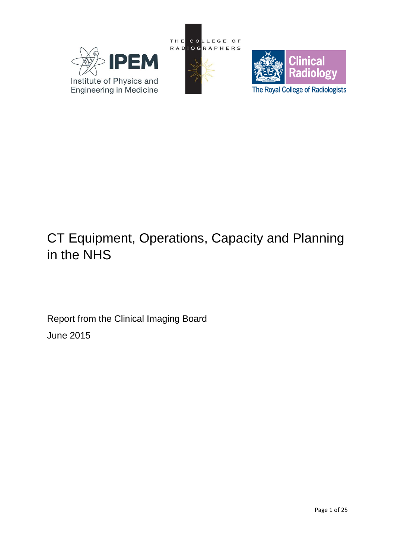





# CT Equipment, Operations, Capacity and Planning in the NHS

Report from the Clinical Imaging Board June 2015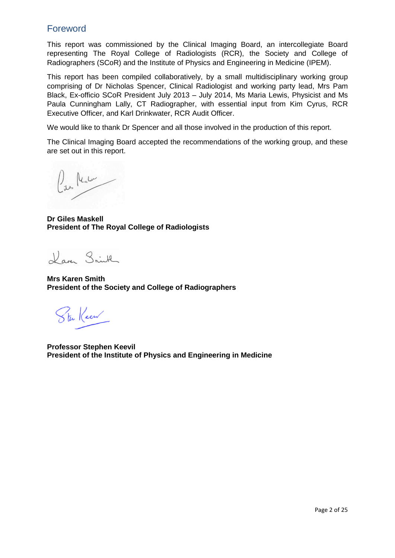# Foreword

This report was commissioned by the Clinical Imaging Board, an intercollegiate Board representing The Royal College of Radiologists (RCR), the Society and College of Radiographers (SCoR) and the Institute of Physics and Engineering in Medicine (IPEM).

This report has been compiled collaboratively, by a small multidisciplinary working group comprising of Dr Nicholas Spencer, Clinical Radiologist and working party lead, Mrs Pam Black, Ex-officio SCoR President July 2013 – July 2014, Ms Maria Lewis, Physicist and Ms Paula Cunningham Lally, CT Radiographer, with essential input from Kim Cyrus, RCR Executive Officer, and Karl Drinkwater, RCR Audit Officer.

We would like to thank Dr Spencer and all those involved in the production of this report.

The Clinical Imaging Board accepted the recommendations of the working group, and these are set out in this report.

 $\int_{\mathbb{R}^{3}}$  lealer

**Dr Giles Maskell President of The Royal College of Radiologists**

Laven Smith

**Mrs Karen Smith President of the Society and College of Radiographers**

Ster Keen

**Professor Stephen Keevil President of the Institute of Physics and Engineering in Medicine**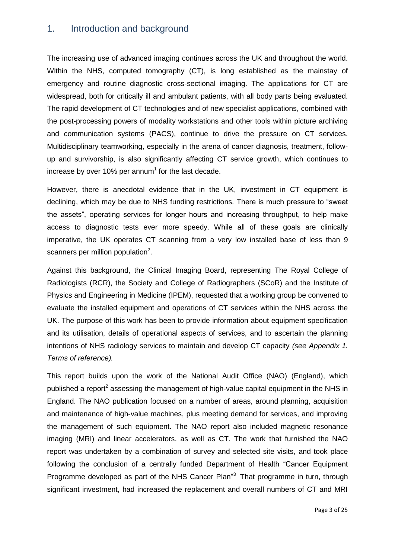# 1. Introduction and background

The increasing use of advanced imaging continues across the UK and throughout the world. Within the NHS, computed tomography (CT), is long established as the mainstay of emergency and routine diagnostic cross-sectional imaging. The applications for CT are widespread, both for critically ill and ambulant patients, with all body parts being evaluated. The rapid development of CT technologies and of new specialist applications, combined with the post-processing powers of modality workstations and other tools within picture archiving and communication systems (PACS), continue to drive the pressure on CT services. Multidisciplinary teamworking, especially in the arena of cancer diagnosis, treatment, followup and survivorship, is also significantly affecting CT service growth, which continues to increase by over 10% per annum<sup>1</sup> for the last decade.

However, there is anecdotal evidence that in the UK, investment in CT equipment is declining, which may be due to NHS funding restrictions. There is much pressure to "sweat the assets", operating services for longer hours and increasing throughput, to help make access to diagnostic tests ever more speedy. While all of these goals are clinically imperative, the UK operates CT scanning from a very low installed base of less than 9 scanners per million population<sup>2</sup>.

Against this background, the Clinical Imaging Board, representing The Royal College of Radiologists (RCR), the Society and College of Radiographers (SCoR) and the Institute of Physics and Engineering in Medicine (IPEM), requested that a working group be convened to evaluate the installed equipment and operations of CT services within the NHS across the UK. The purpose of this work has been to provide information about equipment specification and its utilisation, details of operational aspects of services, and to ascertain the planning intentions of NHS radiology services to maintain and develop CT capacity *(see Appendix 1. Terms of reference).*

This report builds upon the work of the National Audit Office (NAO) (England), which published a report<sup>2</sup> assessing the management of high-value capital equipment in the NHS in England. The NAO publication focused on a number of areas, around planning, acquisition and maintenance of high-value machines, plus meeting demand for services, and improving the management of such equipment. The NAO report also included magnetic resonance imaging (MRI) and linear accelerators, as well as CT. The work that furnished the NAO report was undertaken by a combination of survey and selected site visits, and took place following the conclusion of a centrally funded Department of Health "Cancer Equipment Programme developed as part of the NHS Cancer Plan<sup>3</sup> That programme in turn, through significant investment, had increased the replacement and overall numbers of CT and MRI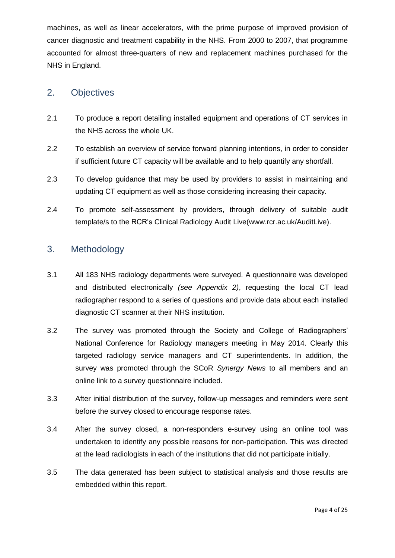machines, as well as linear accelerators, with the prime purpose of improved provision of cancer diagnostic and treatment capability in the NHS. From 2000 to 2007, that programme accounted for almost three-quarters of new and replacement machines purchased for the NHS in England.

# 2. Objectives

- 2.1 To produce a report detailing installed equipment and operations of CT services in the NHS across the whole UK.
- 2.2 To establish an overview of service forward planning intentions, in order to consider if sufficient future CT capacity will be available and to help quantify any shortfall.
- 2.3 To develop guidance that may be used by providers to assist in maintaining and updating CT equipment as well as those considering increasing their capacity.
- 2.4 To promote self-assessment by providers, through delivery of suitable audit template/s to the RCR's Clinical Radiology Audit Live(www.rcr.ac.uk/AuditLive).

# 3. Methodology

- 3.1 All 183 NHS radiology departments were surveyed. A questionnaire was developed and distributed electronically *(see Appendix 2)*, requesting the local CT lead radiographer respond to a series of questions and provide data about each installed diagnostic CT scanner at their NHS institution.
- 3.2 The survey was promoted through the Society and College of Radiographers' National Conference for Radiology managers meeting in May 2014. Clearly this targeted radiology service managers and CT superintendents. In addition, the survey was promoted through the SCoR *Synergy News* to all members and an online link to a survey questionnaire included.
- 3.3 After initial distribution of the survey, follow-up messages and reminders were sent before the survey closed to encourage response rates.
- 3.4 After the survey closed, a non-responders e-survey using an online tool was undertaken to identify any possible reasons for non-participation. This was directed at the lead radiologists in each of the institutions that did not participate initially.
- 3.5 The data generated has been subject to statistical analysis and those results are embedded within this report.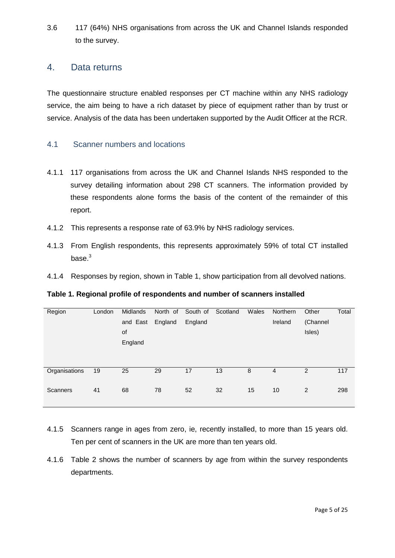3.6 117 (64%) NHS organisations from across the UK and Channel Islands responded to the survey.

# 4. Data returns

The questionnaire structure enabled responses per CT machine within any NHS radiology service, the aim being to have a rich dataset by piece of equipment rather than by trust or service. Analysis of the data has been undertaken supported by the Audit Officer at the RCR.

## 4.1 Scanner numbers and locations

- 4.1.1 117 organisations from across the UK and Channel Islands NHS responded to the survey detailing information about 298 CT scanners. The information provided by these respondents alone forms the basis of the content of the remainder of this report.
- 4.1.2 This represents a response rate of 63.9% by NHS radiology services.
- 4.1.3 From English respondents, this represents approximately 59% of total CT installed base. 3
- 4.1.4 Responses by region, shown in Table 1, show participation from all devolved nations.

**Table 1. Regional profile of respondents and number of scanners installed**

| Region          | London | <b>Midlands</b> | North of | South of | Scotland | Wales | <b>Northern</b> | Other    | Total |
|-----------------|--------|-----------------|----------|----------|----------|-------|-----------------|----------|-------|
|                 |        | and East        | England  | England  |          |       | Ireland         | (Channel |       |
|                 |        | of              |          |          |          |       |                 | Isles)   |       |
|                 |        | England         |          |          |          |       |                 |          |       |
|                 |        |                 |          |          |          |       |                 |          |       |
|                 |        |                 |          |          |          |       |                 |          |       |
| Organisations   | 19     | 25              | 29       | 17       | 13       | 8     | 4               | 2        | 117   |
|                 |        |                 |          |          |          |       |                 |          |       |
| <b>Scanners</b> | 41     | 68              | 78       | 52       | 32       | 15    | 10              | 2        | 298   |
|                 |        |                 |          |          |          |       |                 |          |       |

- 4.1.5 Scanners range in ages from zero, ie, recently installed, to more than 15 years old. Ten per cent of scanners in the UK are more than ten years old.
- 4.1.6 Table 2 shows the number of scanners by age from within the survey respondents departments.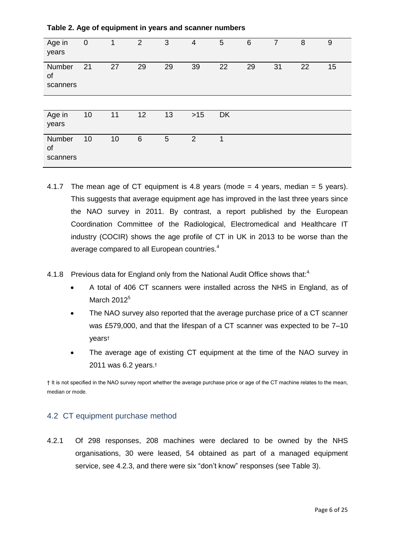| Age in<br>years          | $\mathbf 0$ | 1  | $\overline{2}$ | 3  | $\overline{4}$ | 5         | $6\phantom{1}6$ | $\overline{7}$ | 8  | 9  |
|--------------------------|-------------|----|----------------|----|----------------|-----------|-----------------|----------------|----|----|
| Number<br>of<br>scanners | 21          | 27 | 29             | 29 | 39             | 22        | 29              | 31             | 22 | 15 |
|                          |             |    |                |    |                |           |                 |                |    |    |
| Age in<br>years          | 10          | 11 | 12             | 13 | $>15$          | <b>DK</b> |                 |                |    |    |
| Number<br>of<br>scanners | 10          | 10 | 6              | 5  | 2              | 1         |                 |                |    |    |

- 4.1.7 The mean age of CT equipment is 4.8 years (mode  $=$  4 years, median  $=$  5 years). This suggests that average equipment age has improved in the last three years since the NAO survey in 2011. By contrast, a report published by the European Coordination Committee of the Radiological, Electromedical and Healthcare IT industry (COCIR) shows the age profile of CT in UK in 2013 to be worse than the average compared to all European countries.<sup>4</sup>
- 4.1.8 Previous data for England only from the National Audit Office shows that:<sup>4.</sup>
	- A total of 406 CT scanners were installed across the NHS in England, as of March 2012<sup>5</sup>
	- The NAO survey also reported that the average purchase price of a CT scanner was £579,000, and that the lifespan of a CT scanner was expected to be 7–10 years†
	- The average age of existing CT equipment at the time of the NAO survey in 2011 was 6.2 years.†

† It is not specified in the NAO survey report whether the average purchase price or age of the CT machine relates to the mean, median or mode.

## 4.2 CT equipment purchase method

4.2.1 Of 298 responses, 208 machines were declared to be owned by the NHS organisations, 30 were leased, 54 obtained as part of a managed equipment service, see 4.2.3, and there were six "don't know" responses (see Table 3).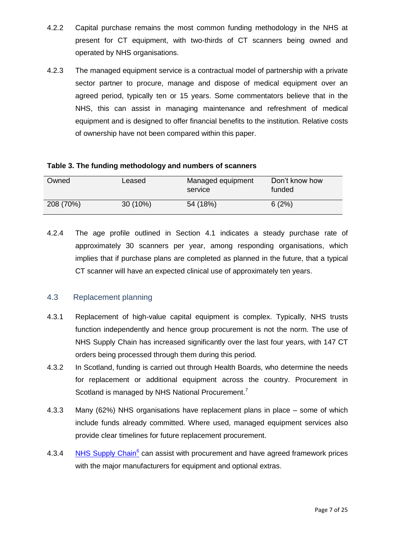- 4.2.2 Capital purchase remains the most common funding methodology in the NHS at present for CT equipment, with two-thirds of CT scanners being owned and operated by NHS organisations.
- 4.2.3 The managed equipment service is a contractual model of partnership with a private sector partner to procure, manage and dispose of medical equipment over an agreed period, typically ten or 15 years. Some commentators believe that in the NHS, this can assist in managing maintenance and refreshment of medical equipment and is designed to offer financial benefits to the institution. Relative costs of ownership have not been compared within this paper.

| Owned     | Leased     | Managed equipment<br>service | Don't know how<br>funded |
|-----------|------------|------------------------------|--------------------------|
| 208 (70%) | $30(10\%)$ | 54 (18%)                     | 6(2%)                    |

4.2.4 The age profile outlined in Section 4.1 indicates a steady purchase rate of approximately 30 scanners per year, among responding organisations, which implies that if purchase plans are completed as planned in the future, that a typical CT scanner will have an expected clinical use of approximately ten years.

## 4.3 Replacement planning

- 4.3.1 Replacement of high-value capital equipment is complex. Typically, NHS trusts function independently and hence group procurement is not the norm. The use of NHS Supply Chain has increased significantly over the last four years, with 147 CT orders being processed through them during this period*.*
- 4.3.2 In Scotland, funding is carried out through Health Boards, who determine the needs for replacement or additional equipment across the country. Procurement in Scotland is managed by NHS National Procurement.<sup>7</sup>
- 4.3.3 Many (62%) NHS organisations have replacement plans in place some of which include funds already committed. Where used, managed equipment services also provide clear timelines for future replacement procurement.
- 4.3.4 [NHS Supply Chain](http://www.supplychain.nhs.uk/)<sup>6</sup> can assist with procurement and have agreed framework prices with the major manufacturers for equipment and optional extras.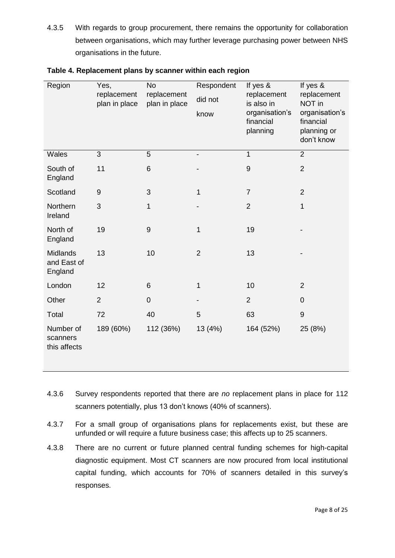4.3.5 With regards to group procurement, there remains the opportunity for collaboration between organisations, which may further leverage purchasing power between NHS organisations in the future.

| Region                                    | Yes,<br>replacement<br>plan in place | <b>No</b><br>replacement<br>plan in place | Respondent<br>did not<br>know | If yes &<br>replacement<br>is also in<br>organisation's<br>financial<br>planning | If yes &<br>replacement<br>NOT in<br>organisation's<br>financial<br>planning or<br>don't know |
|-------------------------------------------|--------------------------------------|-------------------------------------------|-------------------------------|----------------------------------------------------------------------------------|-----------------------------------------------------------------------------------------------|
| Wales                                     | 3                                    | 5                                         |                               | 1                                                                                | $\overline{2}$                                                                                |
| South of<br>England                       | 11                                   | 6                                         |                               | 9                                                                                | $\overline{2}$                                                                                |
| Scotland                                  | 9                                    | 3                                         | 1                             | $\overline{7}$                                                                   | $\overline{2}$                                                                                |
| Northern<br>Ireland                       | 3                                    | 1                                         |                               | $\overline{2}$                                                                   | $\mathbf{1}$                                                                                  |
| North of<br>England                       | 19                                   | $\boldsymbol{9}$                          | 1                             | 19                                                                               |                                                                                               |
| <b>Midlands</b><br>and East of<br>England | 13                                   | 10                                        | $\overline{2}$                | 13                                                                               |                                                                                               |
| London                                    | 12                                   | 6                                         | 1                             | 10                                                                               | $\overline{2}$                                                                                |
| Other                                     | $\overline{2}$                       | $\mathbf 0$                               |                               | $\overline{2}$                                                                   | $\overline{0}$                                                                                |
| Total                                     | 72                                   | 40                                        | 5                             | 63                                                                               | 9                                                                                             |
| Number of<br>scanners<br>this affects     | 189 (60%)                            | 112 (36%)                                 | 13 (4%)                       | 164 (52%)                                                                        | 25 (8%)                                                                                       |

| Table 4. Replacement plans by scanner within each region |  |  |  |
|----------------------------------------------------------|--|--|--|
|                                                          |  |  |  |

- 4.3.6 Survey respondents reported that there are *no* replacement plans in place for 112 scanners potentially, plus 13 don't knows (40% of scanners).
- 4.3.7 For a small group of organisations plans for replacements exist, but these are unfunded or will require a future business case; this affects up to 25 scanners.
- 4.3.8 There are no current or future planned central funding schemes for high-capital diagnostic equipment. Most CT scanners are now procured from local institutional capital funding, which accounts for 70% of scanners detailed in this survey's responses.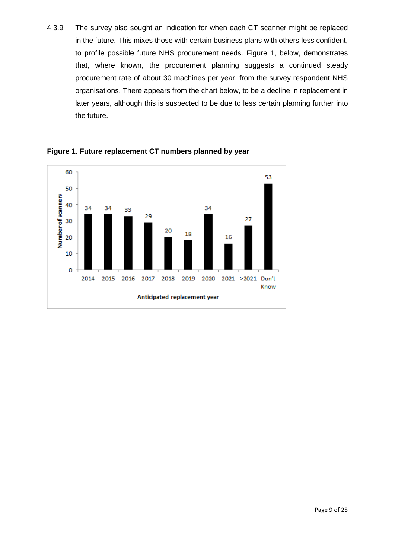4.3.9 The survey also sought an indication for when each CT scanner might be replaced in the future. This mixes those with certain business plans with others less confident, to profile possible future NHS procurement needs. Figure 1, below, demonstrates that, where known, the procurement planning suggests a continued steady procurement rate of about 30 machines per year, from the survey respondent NHS organisations. There appears from the chart below, to be a decline in replacement in later years, although this is suspected to be due to less certain planning further into the future.



**Figure 1. Future replacement CT numbers planned by year**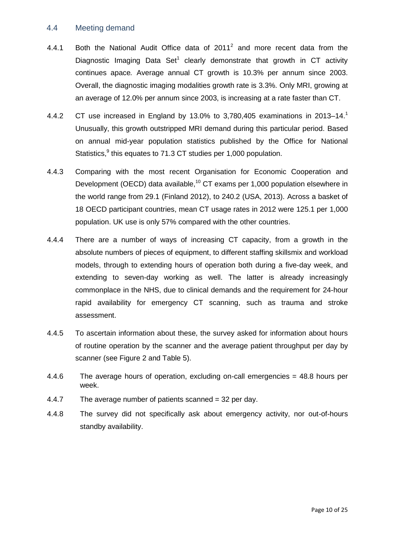#### 4.4 Meeting demand

- 4.4.1 Both the National Audit Office data of  $2011^2$  and more recent data from the Diagnostic Imaging Data Set<sup>1</sup> clearly demonstrate that growth in CT activity continues apace*.* Average annual CT growth is 10.3% per annum since 2003. Overall, the diagnostic imaging modalities growth rate is 3.3%. Only MRI, growing at an average of 12.0% per annum since 2003, is increasing at a rate faster than CT.
- 4.4.2 CT use increased in England by 13.0% to 3,780,405 examinations in 2013–14. Unusually, this growth outstripped MRI demand during this particular period. Based on annual mid-year population statistics published by the Office for National Statistics,<sup>9</sup> this equates to 71.3 CT studies per 1,000 population.
- 4.4.3 Comparing with the most recent Organisation for Economic Cooperation and Development (OECD) data available,<sup>10</sup> CT exams per 1,000 population elsewhere in the world range from 29.1 (Finland 2012), to 240.2 (USA, 2013). Across a basket of 18 OECD participant countries, mean CT usage rates in 2012 were 125.1 per 1,000 population. UK use is only 57% compared with the other countries.
- 4.4.4 There are a number of ways of increasing CT capacity, from a growth in the absolute numbers of pieces of equipment, to different staffing skillsmix and workload models, through to extending hours of operation both during a five-day week, and extending to seven-day working as well. The latter is already increasingly commonplace in the NHS, due to clinical demands and the requirement for 24-hour rapid availability for emergency CT scanning, such as trauma and stroke assessment.
- 4.4.5 To ascertain information about these, the survey asked for information about hours of routine operation by the scanner and the average patient throughput per day by scanner (see Figure 2 and Table 5).
- 4.4.6 The average hours of operation, excluding on-call emergencies = 48.8 hours per week.
- 4.4.7 The average number of patients scanned = 32 per day.
- 4.4.8 The survey did not specifically ask about emergency activity, nor out-of-hours standby availability.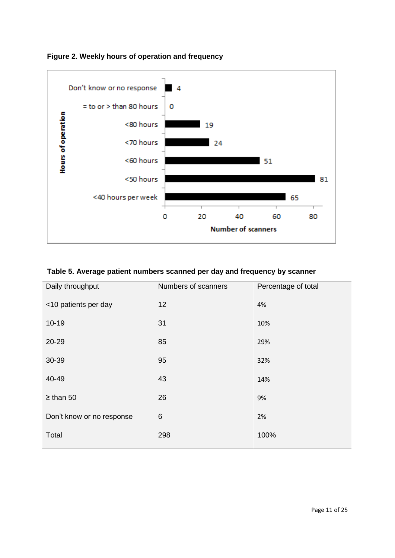

**Figure 2. Weekly hours of operation and frequency**

## **Table 5. Average patient numbers scanned per day and frequency by scanner**

| Daily throughput          | Numbers of scanners | Percentage of total |
|---------------------------|---------------------|---------------------|
| <10 patients per day      | 12                  | 4%                  |
| $10 - 19$                 | 31                  | 10%                 |
| 20-29                     | 85                  | 29%                 |
| 30-39                     | 95                  | 32%                 |
| 40-49                     | 43                  | 14%                 |
| $\geq$ than 50            | 26                  | 9%                  |
| Don't know or no response | 6                   | 2%                  |
| Total                     | 298                 | 100%                |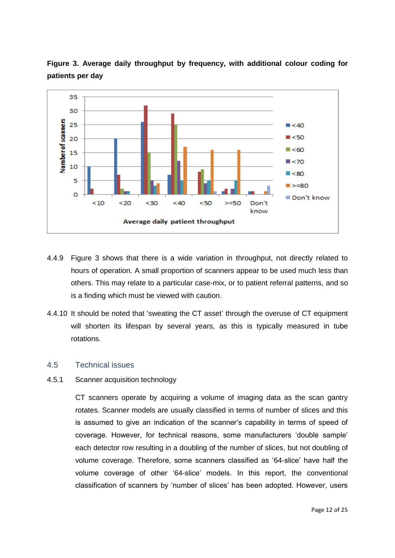

**Figure 3. Average daily throughput by frequency, with additional colour coding for patients per day**

- 4.4.9 Figure 3 shows that there is a wide variation in throughput, not directly related to hours of operation. A small proportion of scanners appear to be used much less than others. This may relate to a particular case-mix, or to patient referral patterns, and so is a finding which must be viewed with caution.
- 4.4.10 It should be noted that 'sweating the CT asset' through the overuse of CT equipment will shorten its lifespan by several years, as this is typically measured in tube rotations.

#### 4.5 Technical issues

#### 4.5.1 Scanner acquisition technology

CT scanners operate by acquiring a volume of imaging data as the scan gantry rotates. Scanner models are usually classified in terms of number of slices and this is assumed to give an indication of the scanner's capability in terms of speed of coverage. However, for technical reasons, some manufacturers 'double sample' each detector row resulting in a doubling of the number of slices, but not doubling of volume coverage. Therefore, some scanners classified as '64-slice' have half the volume coverage of other '64-slice' models. In this report, the conventional classification of scanners by 'number of slices' has been adopted. However, users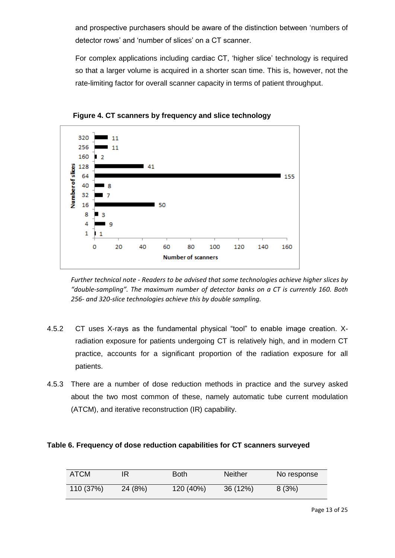and prospective purchasers should be aware of the distinction between 'numbers of detector rows' and 'number of slices' on a CT scanner.

For complex applications including cardiac CT, 'higher slice' technology is required so that a larger volume is acquired in a shorter scan time. This is, however, not the rate-limiting factor for overall scanner capacity in terms of patient throughput.



**Figure 4. CT scanners by frequency and slice technology**

*Further technical note - Readers to be advised that some technologies achieve higher slices by "double-sampling". The maximum number of detector banks on a CT is currently 160. Both 256- and 320-slice technologies achieve this by double sampling.*

- 4.5.2 CT uses X-rays as the fundamental physical "tool" to enable image creation. Xradiation exposure for patients undergoing CT is relatively high, and in modern CT practice, accounts for a significant proportion of the radiation exposure for all patients.
- 4.5.3 There are a number of dose reduction methods in practice and the survey asked about the two most common of these, namely automatic tube current modulation (ATCM), and iterative reconstruction (IR) capability.

#### **Table 6. Frequency of dose reduction capabilities for CT scanners surveyed**

| ATCM      |         | <b>Both</b> | Neither  | No response |
|-----------|---------|-------------|----------|-------------|
| 110 (37%) | 24 (8%) | 120 (40%)   | 36 (12%) | 8(3%)       |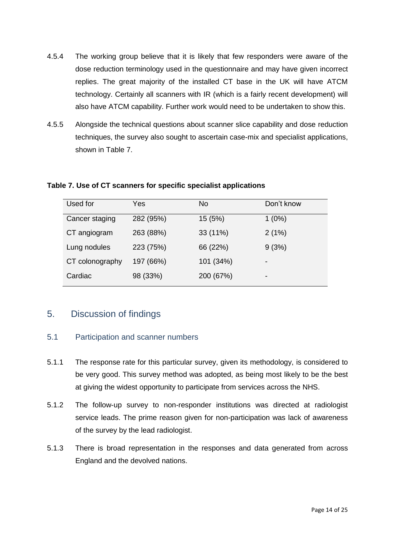- 4.5.4 The working group believe that it is likely that few responders were aware of the dose reduction terminology used in the questionnaire and may have given incorrect replies. The great majority of the installed CT base in the UK will have ATCM technology. Certainly all scanners with IR (which is a fairly recent development) will also have ATCM capability. Further work would need to be undertaken to show this.
- 4.5.5 Alongside the technical questions about scanner slice capability and dose reduction techniques, the survey also sought to ascertain case-mix and specialist applications, shown in Table 7.

| Used for        | Yes       | No.       | Don't know |
|-----------------|-----------|-----------|------------|
| Cancer staging  | 282 (95%) | 15 (5%)   | $1(0\%)$   |
| CT angiogram    | 263 (88%) | 33 (11%)  | 2(1%)      |
| Lung nodules    | 223 (75%) | 66 (22%)  | 9(3%)      |
| CT colonography | 197 (66%) | 101 (34%) | -          |
| Cardiac         | 98 (33%)  | 200 (67%) | -          |

#### **Table 7. Use of CT scanners for specific specialist applications**

# 5. Discussion of findings

## 5.1 Participation and scanner numbers

- 5.1.1 The response rate for this particular survey, given its methodology, is considered to be very good. This survey method was adopted, as being most likely to be the best at giving the widest opportunity to participate from services across the NHS.
- 5.1.2 The follow-up survey to non-responder institutions was directed at radiologist service leads. The prime reason given for non-participation was lack of awareness of the survey by the lead radiologist.
- 5.1.3 There is broad representation in the responses and data generated from across England and the devolved nations.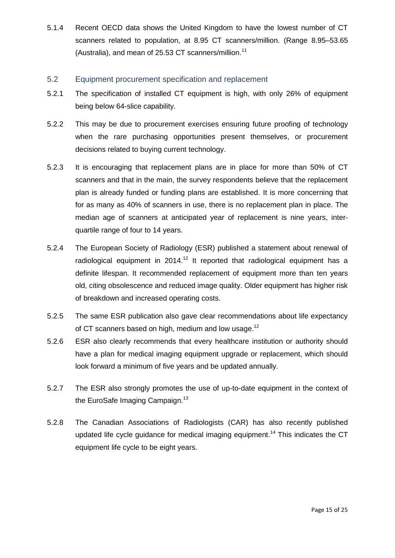5.1.4 Recent OECD data shows the United Kingdom to have the lowest number of CT scanners related to population, at 8.95 CT scanners/million. (Range 8.95–53.65 (Australia), and mean of 25.53 CT scanners/million.<sup>11</sup>

## 5.2 Equipment procurement specification and replacement

- 5.2.1 The specification of installed CT equipment is high, with only 26% of equipment being below 64-slice capability.
- 5.2.2 This may be due to procurement exercises ensuring future proofing of technology when the rare purchasing opportunities present themselves, or procurement decisions related to buying current technology.
- 5.2.3 It is encouraging that replacement plans are in place for more than 50% of CT scanners and that in the main, the survey respondents believe that the replacement plan is already funded or funding plans are established. It is more concerning that for as many as 40% of scanners in use, there is no replacement plan in place. The median age of scanners at anticipated year of replacement is nine years, interquartile range of four to 14 years.
- 5.2.4 The European Society of Radiology (ESR) published a statement about renewal of radiological equipment in  $2014.<sup>12</sup>$  It reported that radiological equipment has a definite lifespan. It recommended replacement of equipment more than ten years old, citing obsolescence and reduced image quality. Older equipment has higher risk of breakdown and increased operating costs.
- 5.2.5 The same ESR publication also gave clear recommendations about life expectancy of CT scanners based on high, medium and low usage.<sup>12</sup>
- 5.2.6 ESR also clearly recommends that every healthcare institution or authority should have a plan for medical imaging equipment upgrade or replacement, which should look forward a minimum of five years and be updated annually.
- 5.2.7 The ESR also strongly promotes the use of up-to-date equipment in the context of the EuroSafe Imaging Campaign.<sup>13</sup>
- 5.2.8 The Canadian Associations of Radiologists (CAR) has also recently published updated life cycle guidance for medical imaging equipment.<sup>14</sup> This indicates the CT equipment life cycle to be eight years.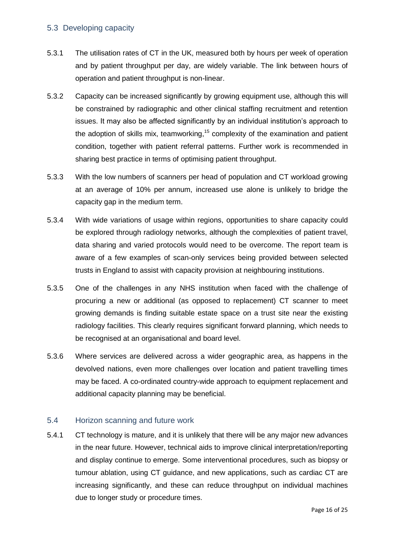### 5.3 Developing capacity

- 5.3.1 The utilisation rates of CT in the UK, measured both by hours per week of operation and by patient throughput per day, are widely variable. The link between hours of operation and patient throughput is non-linear.
- 5.3.2 Capacity can be increased significantly by growing equipment use, although this will be constrained by radiographic and other clinical staffing recruitment and retention issues. It may also be affected significantly by an individual institution's approach to the adoption of skills mix, teamworking,<sup>15</sup> complexity of the examination and patient condition, together with patient referral patterns. Further work is recommended in sharing best practice in terms of optimising patient throughput.
- 5.3.3 With the low numbers of scanners per head of population and CT workload growing at an average of 10% per annum, increased use alone is unlikely to bridge the capacity gap in the medium term.
- 5.3.4 With wide variations of usage within regions, opportunities to share capacity could be explored through radiology networks, although the complexities of patient travel, data sharing and varied protocols would need to be overcome. The report team is aware of a few examples of scan-only services being provided between selected trusts in England to assist with capacity provision at neighbouring institutions.
- 5.3.5 One of the challenges in any NHS institution when faced with the challenge of procuring a new or additional (as opposed to replacement) CT scanner to meet growing demands is finding suitable estate space on a trust site near the existing radiology facilities. This clearly requires significant forward planning, which needs to be recognised at an organisational and board level.
- 5.3.6 Where services are delivered across a wider geographic area, as happens in the devolved nations, even more challenges over location and patient travelling times may be faced. A co-ordinated country-wide approach to equipment replacement and additional capacity planning may be beneficial.

## 5.4 Horizon scanning and future work

5.4.1 CT technology is mature, and it is unlikely that there will be any major new advances in the near future. However, technical aids to improve clinical interpretation/reporting and display continue to emerge. Some interventional procedures, such as biopsy or tumour ablation, using CT guidance, and new applications, such as cardiac CT are increasing significantly, and these can reduce throughput on individual machines due to longer study or procedure times.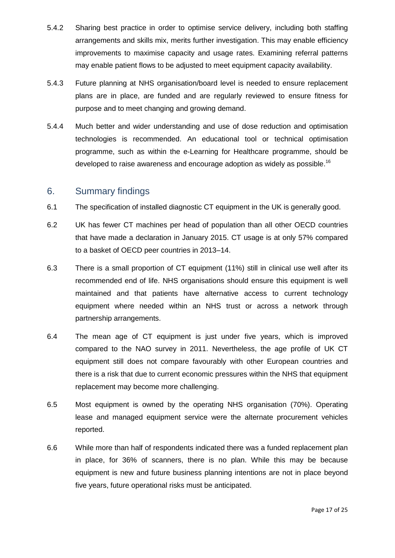- 5.4.2 Sharing best practice in order to optimise service delivery, including both staffing arrangements and skills mix, merits further investigation. This may enable efficiency improvements to maximise capacity and usage rates. Examining referral patterns may enable patient flows to be adjusted to meet equipment capacity availability.
- 5.4.3 Future planning at NHS organisation/board level is needed to ensure replacement plans are in place, are funded and are regularly reviewed to ensure fitness for purpose and to meet changing and growing demand.
- 5.4.4 Much better and wider understanding and use of dose reduction and optimisation technologies is recommended. An educational tool or technical optimisation programme, such as within the e-Learning for Healthcare programme, should be developed to raise awareness and encourage adoption as widely as possible.<sup>16</sup>

## 6. Summary findings

- 6.1 The specification of installed diagnostic CT equipment in the UK is generally good.
- 6.2 UK has fewer CT machines per head of population than all other OECD countries that have made a declaration in January 2015. CT usage is at only 57% compared to a basket of OECD peer countries in 2013–14.
- 6.3 There is a small proportion of CT equipment (11%) still in clinical use well after its recommended end of life. NHS organisations should ensure this equipment is well maintained and that patients have alternative access to current technology equipment where needed within an NHS trust or across a network through partnership arrangements.
- 6.4 The mean age of CT equipment is just under five years, which is improved compared to the NAO survey in 2011. Nevertheless, the age profile of UK CT equipment still does not compare favourably with other European countries and there is a risk that due to current economic pressures within the NHS that equipment replacement may become more challenging.
- 6.5 Most equipment is owned by the operating NHS organisation (70%). Operating lease and managed equipment service were the alternate procurement vehicles reported.
- 6.6 While more than half of respondents indicated there was a funded replacement plan in place, for 36% of scanners, there is no plan. While this may be because equipment is new and future business planning intentions are not in place beyond five years, future operational risks must be anticipated.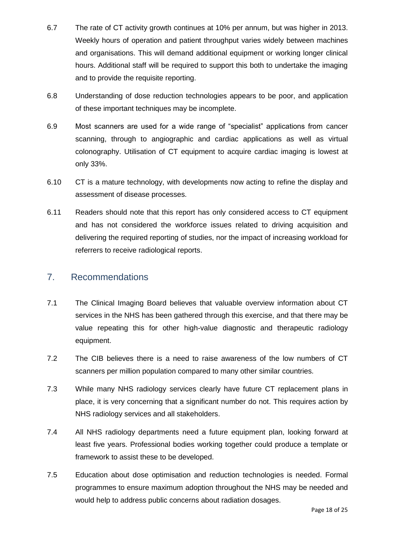- 6.7 The rate of CT activity growth continues at 10% per annum, but was higher in 2013. Weekly hours of operation and patient throughput varies widely between machines and organisations. This will demand additional equipment or working longer clinical hours. Additional staff will be required to support this both to undertake the imaging and to provide the requisite reporting.
- 6.8 Understanding of dose reduction technologies appears to be poor, and application of these important techniques may be incomplete.
- 6.9 Most scanners are used for a wide range of "specialist" applications from cancer scanning, through to angiographic and cardiac applications as well as virtual colonography. Utilisation of CT equipment to acquire cardiac imaging is lowest at only 33%.
- 6.10 CT is a mature technology, with developments now acting to refine the display and assessment of disease processes.
- 6.11 Readers should note that this report has only considered access to CT equipment and has not considered the workforce issues related to driving acquisition and delivering the required reporting of studies, nor the impact of increasing workload for referrers to receive radiological reports.

# 7. Recommendations

- 7.1 The Clinical Imaging Board believes that valuable overview information about CT services in the NHS has been gathered through this exercise, and that there may be value repeating this for other high-value diagnostic and therapeutic radiology equipment.
- 7.2 The CIB believes there is a need to raise awareness of the low numbers of CT scanners per million population compared to many other similar countries.
- 7.3 While many NHS radiology services clearly have future CT replacement plans in place, it is very concerning that a significant number do not. This requires action by NHS radiology services and all stakeholders.
- 7.4 All NHS radiology departments need a future equipment plan, looking forward at least five years. Professional bodies working together could produce a template or framework to assist these to be developed.
- 7.5 Education about dose optimisation and reduction technologies is needed. Formal programmes to ensure maximum adoption throughout the NHS may be needed and would help to address public concerns about radiation dosages.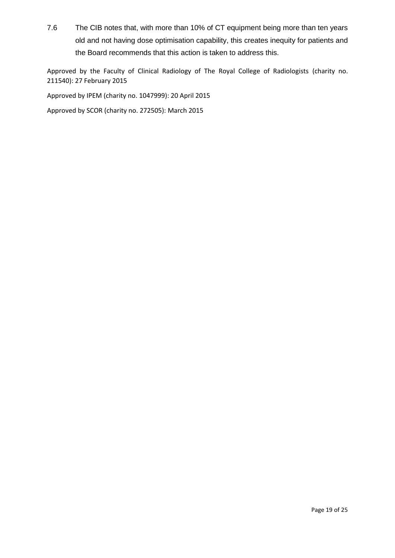7.6 The CIB notes that, with more than 10% of CT equipment being more than ten years old and not having dose optimisation capability, this creates inequity for patients and the Board recommends that this action is taken to address this.

Approved by the Faculty of Clinical Radiology of The Royal College of Radiologists (charity no. 211540): 27 February 2015

Approved by IPEM (charity no. 1047999): 20 April 2015

Approved by SCOR (charity no. 272505): March 2015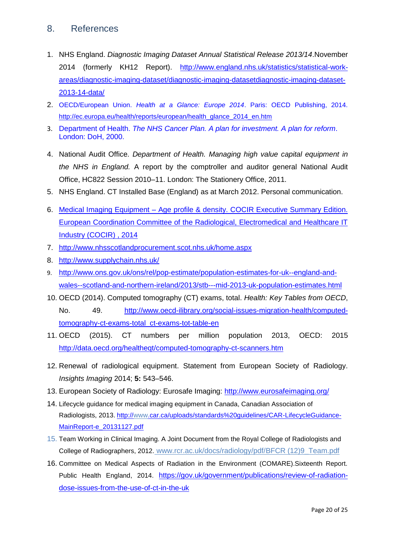# 8. References

- 1. NHS England. *Diagnostic Imaging Dataset Annual Statistical Release 2013/14*.November 2014 (formerly KH12 Report). [http://www.england.nhs.uk/statistics/statistical-work](http://www.england.nhs.uk/statistics/statistical-work-areas/diagnostic-imaging-dataset/diagnostic-imaging-datasetdiagnostic-imaging-dataset-2013-14-data/)[areas/diagnostic-imaging-dataset/diagnostic-imaging-datasetdiagnostic-imaging-dataset-](http://www.england.nhs.uk/statistics/statistical-work-areas/diagnostic-imaging-dataset/diagnostic-imaging-datasetdiagnostic-imaging-dataset-2013-14-data/)[2013-14-data/](http://www.england.nhs.uk/statistics/statistical-work-areas/diagnostic-imaging-dataset/diagnostic-imaging-datasetdiagnostic-imaging-dataset-2013-14-data/)
- 2. OECD/European Union. *Health at a Glance: Europe 2014*. Paris: OECD Publishing, 2014. [http://ec.europa.eu/health/reports/european/health\\_glance\\_2014\\_en.htm](http://ec.europa.eu/health/reports/european/health_glance_2014_en.htm)
- 3. Department of Health. *The NHS Cancer Plan. A plan for investment. A plan for reform*. London: DoH, 2000.
- 4. National Audit Office. *Department of Health. Managing high value capital equipment in the NHS in England.* A report by the comptroller and auditor general National Audit Office, HC822 Session 2010–11. London: The Stationery Office, 2011.
- 5. NHS England. CT Installed Base (England) as at March 2012. Personal communication.
- 6. Medical Imaging Equipment [Age profile & density. COCIR Executive Summary Edition.](http://www.cocir.org/index.php?id=63&tx_ttnews%5Btt_news%5D=875&cHash=35c735361be5ec3c5d2357aea227b749)  [European Coordination Committee of the Radiological, Electromedical and Healthcare IT](http://www.cocir.org/index.php?id=63&tx_ttnews%5Btt_news%5D=875&cHash=35c735361be5ec3c5d2357aea227b749)  [Industry \(COCIR\) , 2014](http://www.cocir.org/index.php?id=63&tx_ttnews%5Btt_news%5D=875&cHash=35c735361be5ec3c5d2357aea227b749)
- 7. <http://www.nhsscotlandprocurement.scot.nhs.uk/home.aspx>
- 8. <http://www.supplychain.nhs.uk/>
- 9. [http://www.ons.gov.uk/ons/rel/pop-estimate/population-estimates-for-uk--england-and](http://www.ons.gov.uk/ons/rel/pop-estimate/population-estimates-for-uk--england-and-wales--scotland-and-northern-ireland/2013/stb---mid-2013-uk-population-estimates.html)[wales--scotland-and-northern-ireland/2013/stb---mid-2013-uk-population-estimates.html](http://www.ons.gov.uk/ons/rel/pop-estimate/population-estimates-for-uk--england-and-wales--scotland-and-northern-ireland/2013/stb---mid-2013-uk-population-estimates.html)
- 10. OECD (2014). Computed tomography (CT) exams, total. *Health: Key Tables from OECD*, No. 49. [http://www.oecd-ilibrary.org/social-issues-migration-health/computed](http://www.oecd-ilibrary.org/social-issues-migration-health/computed-tomography-ct-exams-total_ct-exams-tot-table-en)[tomography-ct-exams-total\\_ct-exams-tot-table-en](http://www.oecd-ilibrary.org/social-issues-migration-health/computed-tomography-ct-exams-total_ct-exams-tot-table-en)
- 11. OECD (2015). CT numbers per million population 2013, OECD: 2015 <http://data.oecd.org/healtheqt/computed-tomography-ct-scanners.htm>
- 12. Renewal of radiological equipment. Statement from European Society of Radiology. *Insights Imaging* 2014; **5:** 543–546.
- 13. European Society of Radiology: Eurosafe Imaging: <http://www.eurosafeimaging.org/>
- 14. Lifecycle guidance for medical imaging equipment in Canada, Canadian Association of Radiologists, 2013. [http://www.car.ca/uploads/standards%20guidelines/CAR-LifecycleGuidance-](http://www.car.ca/uploads/standards%20guidelines/CAR-LifecycleGuidance-MainReport-e_20131127.pdf)[MainReport-e\\_20131127.pdf](http://www.car.ca/uploads/standards%20guidelines/CAR-LifecycleGuidance-MainReport-e_20131127.pdf)
- 15. Team Working in Clinical Imaging. A Joint Document from the Royal College of Radiologists and College of Radiographers, 2012. www.rcr.ac.uk/docs/radiology/pdf/BFCR (12)9\_Team.pdf
- 16. Committee on Medical Aspects of Radiation in the Environment (COMARE).Sixteenth Report. Public Health England, 2014. [https://gov.uk/government/publications/review-of-radiation](https://gov.uk/government/publications/review-of-radiation-dose-issues-from-the-use-of-ct-in-the-uk)[dose-issues-from-the-use-of-ct-in-the-uk](https://gov.uk/government/publications/review-of-radiation-dose-issues-from-the-use-of-ct-in-the-uk)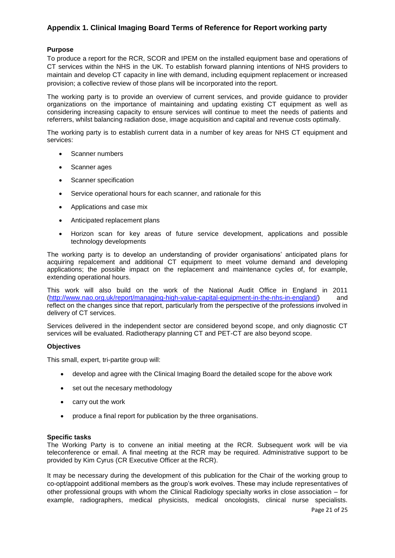## **Appendix 1. Clinical Imaging Board Terms of Reference for Report working party**

#### **Purpose**

To produce a report for the RCR, SCOR and IPEM on the installed equipment base and operations of CT services within the NHS in the UK. To establish forward planning intentions of NHS providers to maintain and develop CT capacity in line with demand, including equipment replacement or increased provision; a collective review of those plans will be incorporated into the report.

The working party is to provide an overview of current services, and provide guidance to provider organizations on the importance of maintaining and updating existing CT equipment as well as considering increasing capacity to ensure services will continue to meet the needs of patients and referrers, whilst balancing radiation dose, image acquisition and capital and revenue costs optimally.

The working party is to establish current data in a number of key areas for NHS CT equipment and services:

- Scanner numbers
- Scanner ages
- Scanner specification
- Service operational hours for each scanner, and rationale for this
- Applications and case mix
- Anticipated replacement plans
- Horizon scan for key areas of future service development, applications and possible technology developments

The working party is to develop an understanding of provider organisations' anticipated plans for acquiring repalcement and additional CT equipment to meet volume demand and developing applications; the possible impact on the replacement and maintenance cycles of, for example, extending operational hours.

This work will also build on the work of the National Audit Office in England in 2011 [\(http://www.nao.org.uk/report/managing-high-value-capital-equipment-in-the-nhs-in-england/\)](http://www.nao.org.uk/report/managing-high-value-capital-equipment-in-the-nhs-in-england/) and reflect on the changes since that report, particularly from the perspective of the professions involved in delivery of CT services.

Services delivered in the independent sector are considered beyond scope, and only diagnostic CT services will be evaluated. Radiotherapy planning CT and PET-CT are also beyond scope.

#### **Objectives**

This small, expert, tri-partite group will:

- develop and agree with the Clinical Imaging Board the detailed scope for the above work
- set out the necesary methodology
- carry out the work
- produce a final report for publication by the three organisations.

#### **Specific tasks**

The Working Party is to convene an initial meeting at the RCR. Subsequent work will be via teleconference or email. A final meeting at the RCR may be required. Administrative support to be provided by Kim Cyrus (CR Executive Officer at the RCR).

It may be necessary during the development of this publication for the Chair of the working group to co-opt/appoint additional members as the group's work evolves. These may include representatives of other professional groups with whom the Clinical Radiology specialty works in close association – for example, radiographers, medical physicists, medical oncologists, clinical nurse specialists.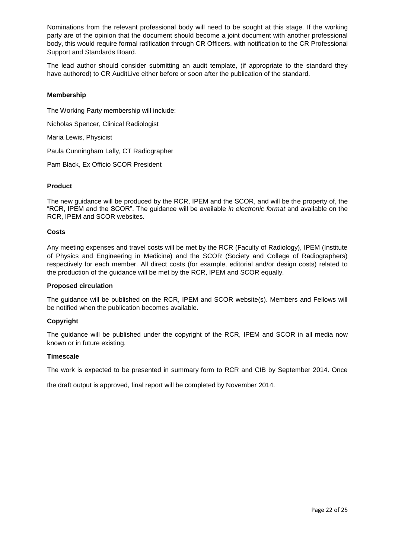Nominations from the relevant professional body will need to be sought at this stage. If the working party are of the opinion that the document should become a joint document with another professional body, this would require formal ratification through CR Officers, with notification to the CR Professional Support and Standards Board.

The lead author should consider submitting an audit template, (if appropriate to the standard they have authored) to CR AuditLive either before or soon after the publication of the standard.

#### **Membership**

The Working Party membership will include: Nicholas Spencer, Clinical Radiologist Maria Lewis, Physicist Paula Cunningham Lally, CT Radiographer

Pam Black, Ex Officio SCOR President

#### **Product**

The new guidance will be produced by the RCR, IPEM and the SCOR, and will be the property of, the "RCR, IPEM and the SCOR". The guidance will be available *in electronic format* and available on the RCR, IPEM and SCOR websites.

#### **Costs**

Any meeting expenses and travel costs will be met by the RCR (Faculty of Radiology), IPEM (Institute of Physics and Engineering in Medicine) and the SCOR (Society and College of Radiographers) respectively for each member. All direct costs (for example, editorial and/or design costs) related to the production of the guidance will be met by the RCR, IPEM and SCOR equally.

#### **Proposed circulation**

The guidance will be published on the RCR, IPEM and SCOR website(s). Members and Fellows will be notified when the publication becomes available.

#### **Copyright**

The guidance will be published under the copyright of the RCR, IPEM and SCOR in all media now known or in future existing.

#### **Timescale**

The work is expected to be presented in summary form to RCR and CIB by September 2014. Once

the draft output is approved, final report will be completed by November 2014.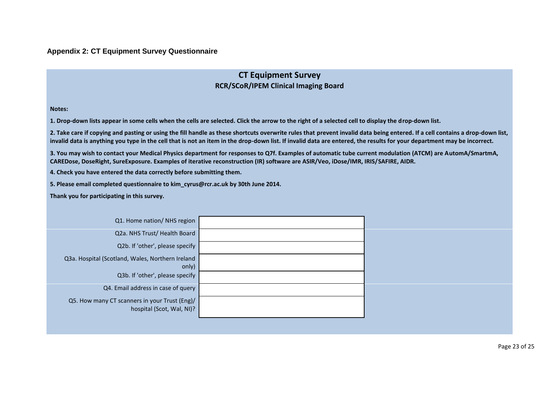#### **Appendix 2: CT Equipment Survey Questionnaire**

# **CT Equipment Survey RCR/SCoR/IPEM Clinical Imaging Board**

**Notes:**

**1. Drop-down lists appear in some cells when the cells are selected. Click the arrow to the right of a selected cell to display the drop-down list.** 

**2. Take care if copying and pasting or using the fill handle as these shortcuts overwrite rules that prevent invalid data being entered. If a cell contains a drop-down list, invalid data is anything you type in the cell that is not an item in the drop-down list. If invalid data are entered, the results for your department may be incorrect.**

**3. You may wish to contact your Medical Physics department for responses to Q7f. Examples of automatic tube current modulation (ATCM) are AutomA/SmartmA, CAREDose, DoseRight, SureExposure. Examples of iterative reconstruction (IR) software are ASIR/Veo, iDose/IMR, IRIS/SAFIRE, AIDR.** 

**4. Check you have entered the data correctly before submitting them.**

**5. Please email completed questionnaire to kim\_cyrus@rcr.ac.uk by 30th June 2014.**

**Thank you for participating in this survey.**

| Q1. Home nation/ NHS region                                                |  |
|----------------------------------------------------------------------------|--|
| Q2a. NHS Trust/Health Board                                                |  |
| Q2b. If 'other', please specify                                            |  |
| Q3a. Hospital (Scotland, Wales, Northern Ireland                           |  |
| only)                                                                      |  |
| Q3b. If 'other', please specify                                            |  |
| Q4. Email address in case of query                                         |  |
| Q5. How many CT scanners in your Trust (Eng)/<br>hospital (Scot, Wal, NI)? |  |
|                                                                            |  |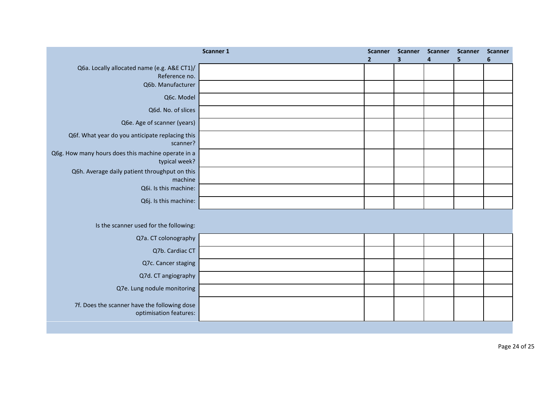|                                                                        | Scanner 1 | <b>Scanner</b><br>$\overline{2}$ | <b>Scanner</b><br>$\mathbf{3}$ | <b>Scanner</b><br>4 | <b>Scanner</b><br>5. | <b>Scanner</b><br>6 |
|------------------------------------------------------------------------|-----------|----------------------------------|--------------------------------|---------------------|----------------------|---------------------|
| Q6a. Locally allocated name (e.g. A&E CT1)/<br>Reference no.           |           |                                  |                                |                     |                      |                     |
| Q6b. Manufacturer                                                      |           |                                  |                                |                     |                      |                     |
| Q6c. Model                                                             |           |                                  |                                |                     |                      |                     |
| Q6d. No. of slices                                                     |           |                                  |                                |                     |                      |                     |
| Q6e. Age of scanner (years)                                            |           |                                  |                                |                     |                      |                     |
| Q6f. What year do you anticipate replacing this<br>scanner?            |           |                                  |                                |                     |                      |                     |
| Q6g. How many hours does this machine operate in a<br>typical week?    |           |                                  |                                |                     |                      |                     |
| Q6h. Average daily patient throughput on this<br>machine               |           |                                  |                                |                     |                      |                     |
| Q6i. Is this machine:                                                  |           |                                  |                                |                     |                      |                     |
| Q6j. Is this machine:                                                  |           |                                  |                                |                     |                      |                     |
|                                                                        |           |                                  |                                |                     |                      |                     |
| Is the scanner used for the following:                                 |           |                                  |                                |                     |                      |                     |
| Q7a. CT colonography                                                   |           |                                  |                                |                     |                      |                     |
| Q7b. Cardiac CT                                                        |           |                                  |                                |                     |                      |                     |
| Q7c. Cancer staging                                                    |           |                                  |                                |                     |                      |                     |
| Q7d. CT angiography                                                    |           |                                  |                                |                     |                      |                     |
| Q7e. Lung nodule monitoring                                            |           |                                  |                                |                     |                      |                     |
| 7f. Does the scanner have the following dose<br>optimisation features: |           |                                  |                                |                     |                      |                     |
|                                                                        |           |                                  |                                |                     |                      |                     |